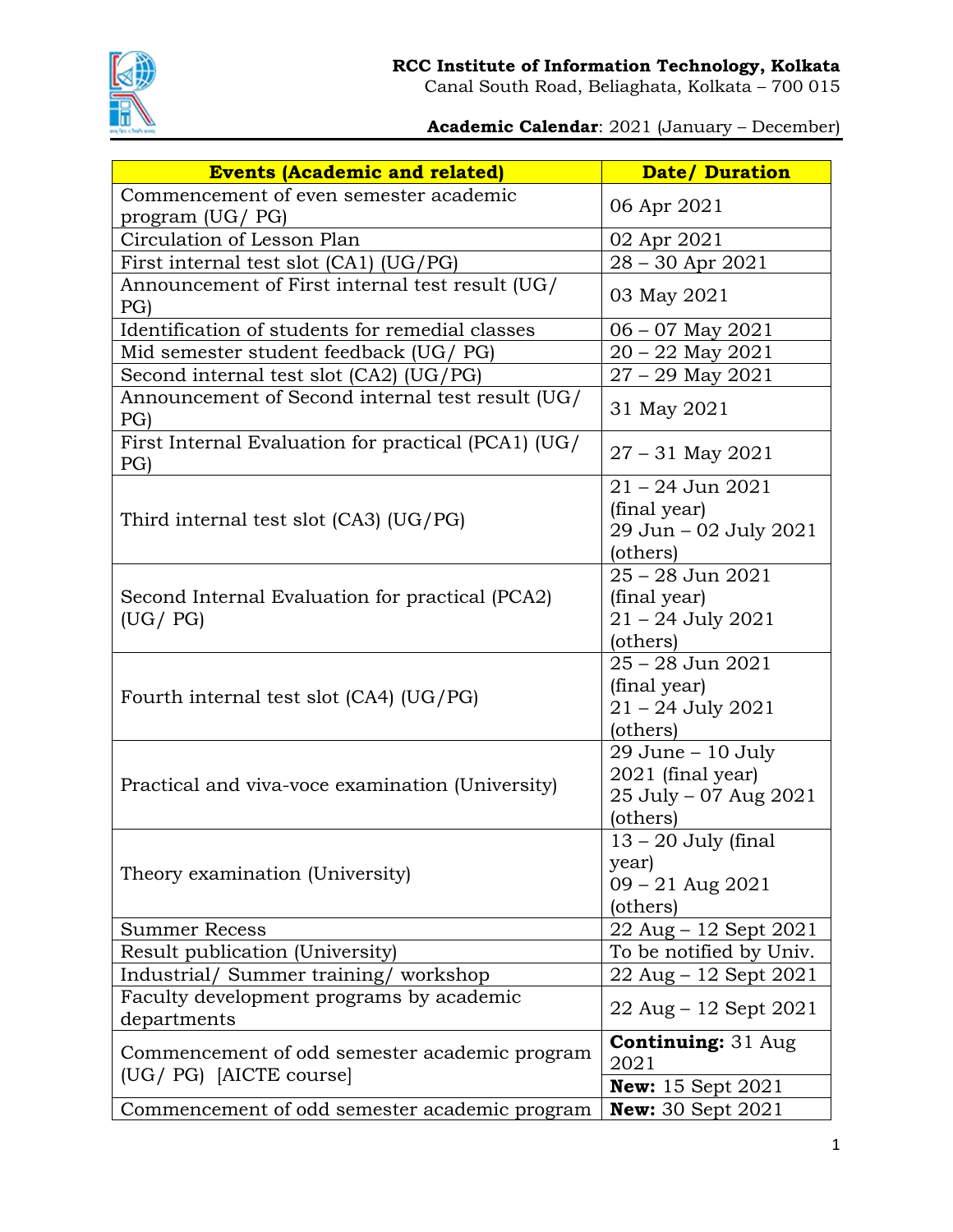

**Academic Calendar**: 2021 (January – December)

| <b>Events (Academic and related)</b>                         | <b>Date/Duration</b>                     |
|--------------------------------------------------------------|------------------------------------------|
| Commencement of even semester academic                       |                                          |
| program (UG/ PG)                                             | 06 Apr 2021                              |
| Circulation of Lesson Plan                                   | 02 Apr 2021                              |
| First internal test slot (CA1) (UG/PG)                       | 28 - 30 Apr 2021                         |
| Announcement of First internal test result (UG/              | 03 May 2021                              |
| PG                                                           |                                          |
| Identification of students for remedial classes              | $06 - 07$ May $2021$                     |
| Mid semester student feedback (UG/ PG)                       | $20 - 22$ May $2021$                     |
| Second internal test slot (CA2) (UG/PG)                      | $27 - 29$ May $2021$                     |
| Announcement of Second internal test result (UG/<br>PG)      | 31 May 2021                              |
| First Internal Evaluation for practical (PCA1) (UG/          | $27 - 31$ May $2021$                     |
| PG)                                                          |                                          |
|                                                              | $21 - 24$ Jun $2021$                     |
| Third internal test slot $(CA3)$ $(UG/PG)$                   | (final year)                             |
|                                                              | 29 Jun - 02 July 2021                    |
|                                                              | (others)<br>25 - 28 Jun 2021             |
|                                                              |                                          |
| Second Internal Evaluation for practical (PCA2)<br>(UG / PG) | (final year)<br>$21 - 24$ July 2021      |
|                                                              | (others)                                 |
|                                                              | $25 - 28$ Jun $2021$                     |
| Fourth internal test slot (CA4) (UG/PG)                      | (final year)                             |
|                                                              | $21 - 24$ July 2021                      |
|                                                              | (others)                                 |
| Practical and viva-voce examination (University)             | 29 June - 10 July                        |
|                                                              | 2021 (final year)                        |
|                                                              | 25 July - 07 Aug 2021                    |
|                                                              | (others)                                 |
| Theory examination (University)                              | $13 - 20$ July (final                    |
|                                                              | year)                                    |
|                                                              | $09 - 21$ Aug $2021$                     |
|                                                              | (others)                                 |
| <b>Summer Recess</b>                                         | 22 Aug – 12 Sept 2021                    |
| Result publication (University)                              | To be notified by Univ.                  |
| Industrial/ Summer training/ workshop                        | 22 Aug – 12 Sept 2021                    |
| Faculty development programs by academic                     |                                          |
| departments                                                  | $22 \text{ Aug} - 12 \text{ Sept } 2021$ |
|                                                              | <b>Continuing: 31 Aug</b>                |
| Commencement of odd semester academic program                | 2021                                     |
| (UG/ PG) [AICTE course]                                      | <b>New:</b> 15 Sept $2021$               |
| Commencement of odd semester academic program                | <b>New:</b> 30 Sept 2021                 |